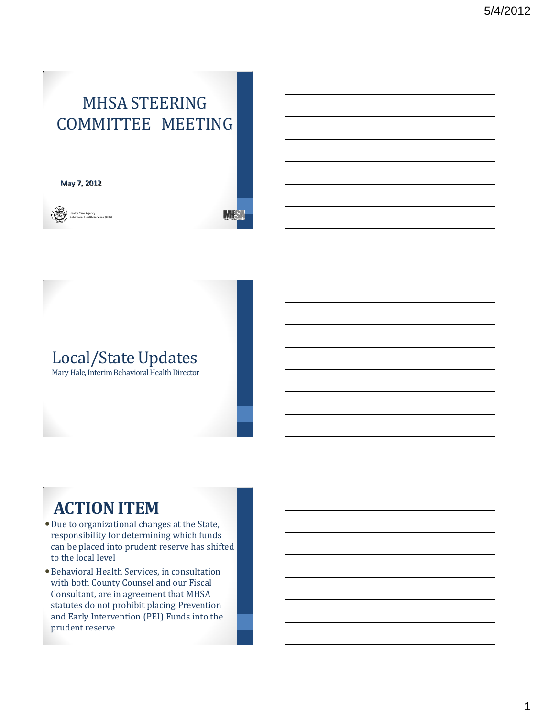# MHSA STEERING COMMITTEE MEETING

MS:

May 7, 2012



# Local/State Updates

Mary Hale, Interim Behavioral Health Director

# **ACTION ITEM**

- Due to organizational changes at the State, responsibility for determining which funds can be placed into prudent reserve has shifted to the local level
- Behavioral Health Services, in consultation with both County Counsel and our Fiscal Consultant, are in agreement that MHSA statutes do not prohibit placing Prevention and Early Intervention (PEI) Funds into the prudent reserve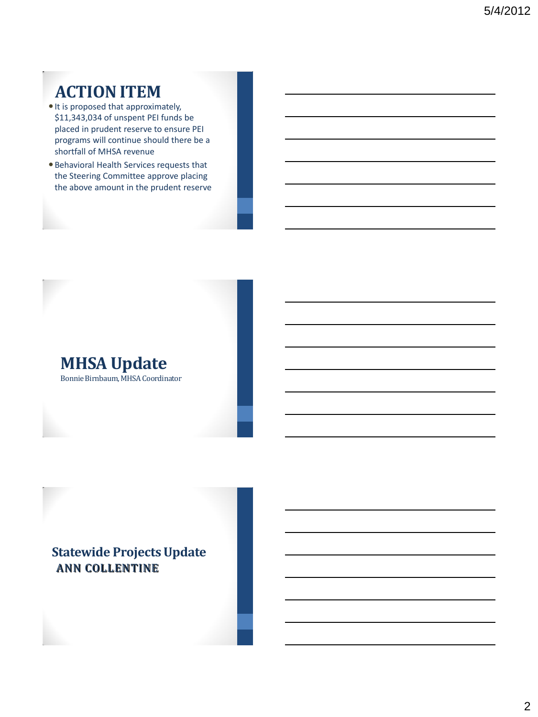# **ACTION ITEM**

- $\bullet$  It is proposed that approximately, \$11,343,034 of unspent PEI funds be placed in prudent reserve to ensure PEI programs will continue should there be a shortfall of MHSA revenue
- Behavioral Health Services requests that the Steering Committee approve placing the above amount in the prudent reserve



Bonnie Birnbaum, MHSA Coordinator

## **Statewide Projects Update** ANN COLLENTINE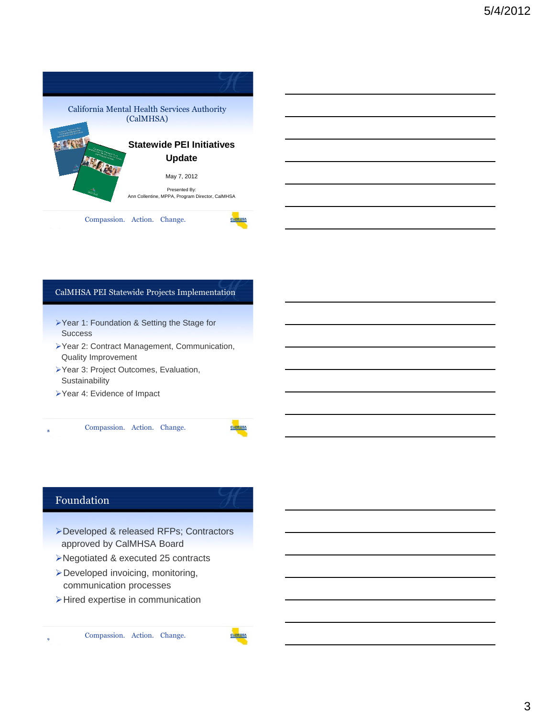

### CalMHSA PEI Statewide Projects Implementation

- ▶Year 1: Foundation & Setting the Stage for **Success**
- Year 2: Contract Management, Communication, Quality Improvement
- Year 3: Project Outcomes, Evaluation, **Sustainability**
- Year 4: Evidence of Impact

8 Compassion. Action. Change. **<sup>8</sup>**

### Foundation

**9**

- Developed & released RFPs; Contractors approved by CalMHSA Board
- Negotiated & executed 25 contracts
- Developed invoicing, monitoring, communication processes
- Hired expertise in communication

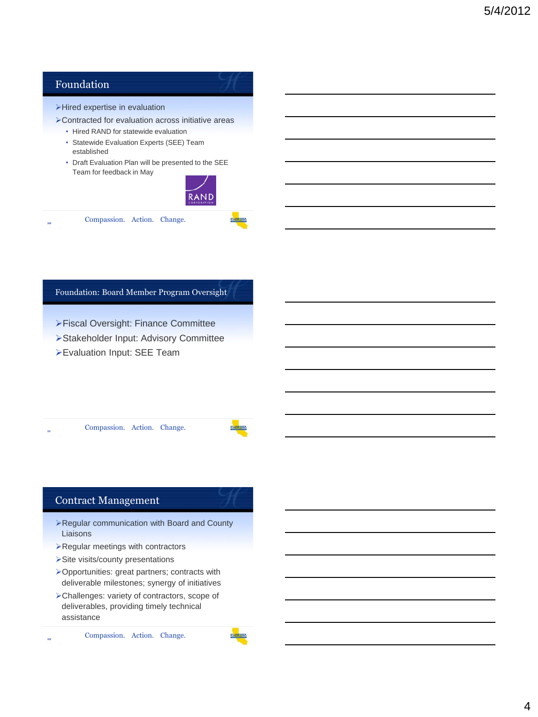

### Foundation: Board Member Program Oversight

- Fiscal Oversight: Finance Committee
- Stakeholder Input: Advisory Committee
- Evaluation Input: SEE Team

Compassion. Action. Change.

### Contract Management

**11**

**12**

- Regular communication with Board and County Liaisons
- Regular meetings with contractors
- > Site visits/county presentations
- Opportunities: great partners; contracts with deliverable milestones; synergy of initiatives
- Challenges: variety of contractors, scope of deliverables, providing timely technical assistance

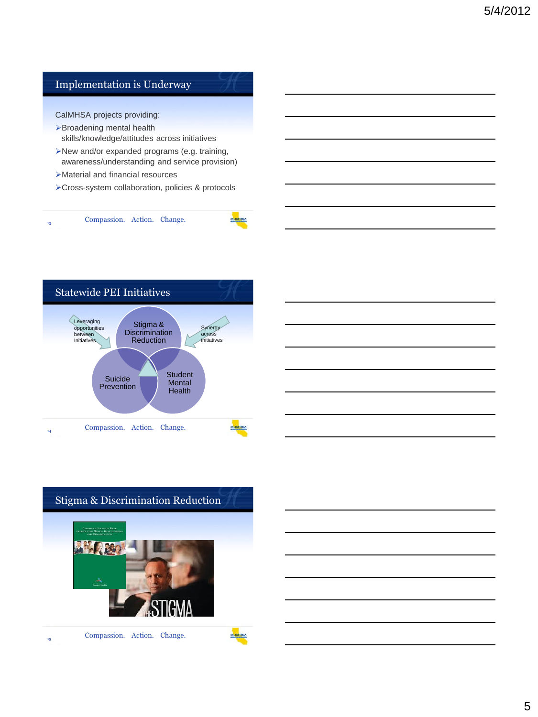### Implementation is Underway

CalMHSA projects providing:

- Broadening mental health skills/knowledge/attitudes across initiatives
- New and/or expanded programs (e.g. training, awareness/understanding and service provision)
- Material and financial resources
- Cross-system collaboration, policies & protocols



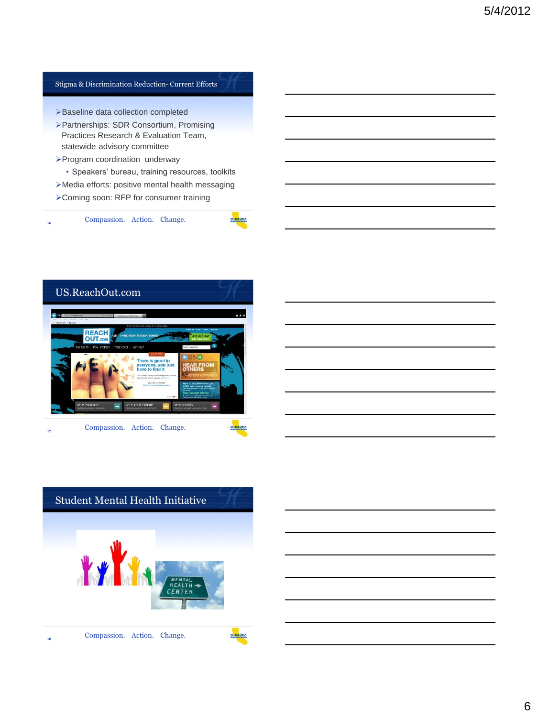### Stigma & Discrimination Reduction- Current Efforts

- >Baseline data collection completed
- Partnerships: SDR Consortium, Promising Practices Research & Evaluation Team, statewide advisory committee
- Program coordination underway
	- Speakers' bureau, training resources, toolkits
- Media efforts: positive mental health messaging
- Coming soon: RFP for consumer training



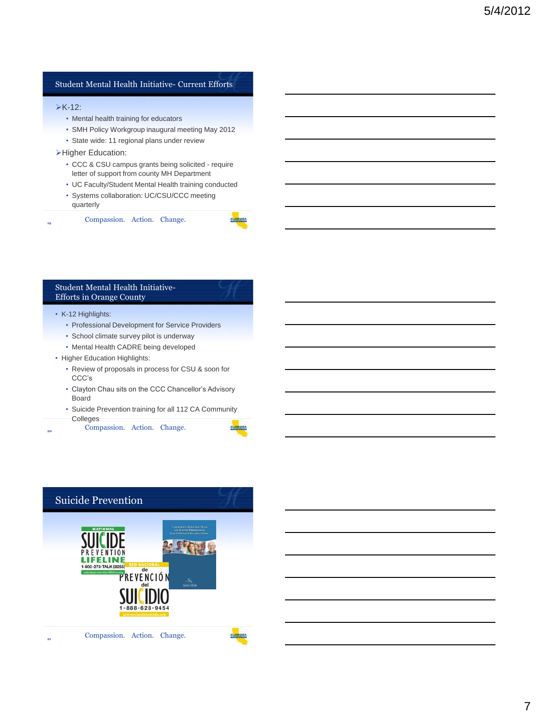### Student Mental Health Initiative- Current Efforts

#### $\triangleright$ K-12:

**19**

**20**

- Mental health training for educators
- SMH Policy Workgroup inaugural meeting May 2012
- State wide: 11 regional plans under review

#### **>Higher Education:**

- CCC & CSU campus grants being solicited require letter of support from county MH Department
- UC Faculty/Student Mental Health training conducted
- Systems collaboration: UC/CSU/CCC meeting quarterly

Compassion. Action. Change.

### Student Mental Health Initiative-Efforts in Orange County

#### • K-12 Highlights:

- Professional Development for Service Providers
- School climate survey pilot is underway
- Mental Health CADRE being developed
- Higher Education Highlights:
	- Review of proposals in process for CSU & soon for CCC's
	- Clayton Chau sits on the CCC Chancellor's Advisory Board
	- Suicide Prevention training for all 112 CA Community Colleges

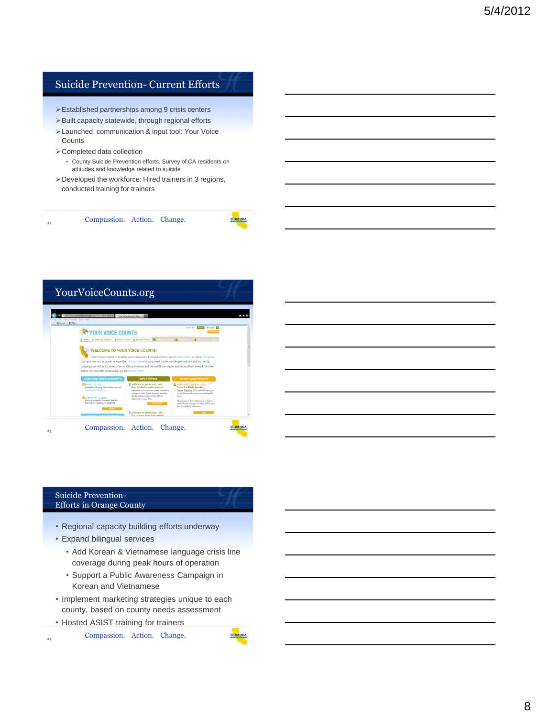### Suicide Prevention- Current Efforts

- Established partnerships among 9 crisis centers
- $\triangleright$  Built capacity statewide, through regional efforts
- Launched communication & input tool: Your Voice **Counts**
- Completed data collection
	- County Suicide Prevention efforts, Survey of CA residents on attitudes and knowledge related to suicide
- Developed the workforce: Hired trainers in 3 regions, conducted training for trainers

Compassion. Action. Change. **22**



### Suicide Prevention-Efforts in Orange County

- Regional capacity building efforts underway
- Expand bilingual services
	- Add Korean & Vietnamese language crisis line coverage during peak hours of operation
	- Support a Public Awareness Campaign in Korean and Vietnamese
- Implement marketing strategies unique to each county, based on county needs assessment
- Hosted ASIST training for trainers

**24**

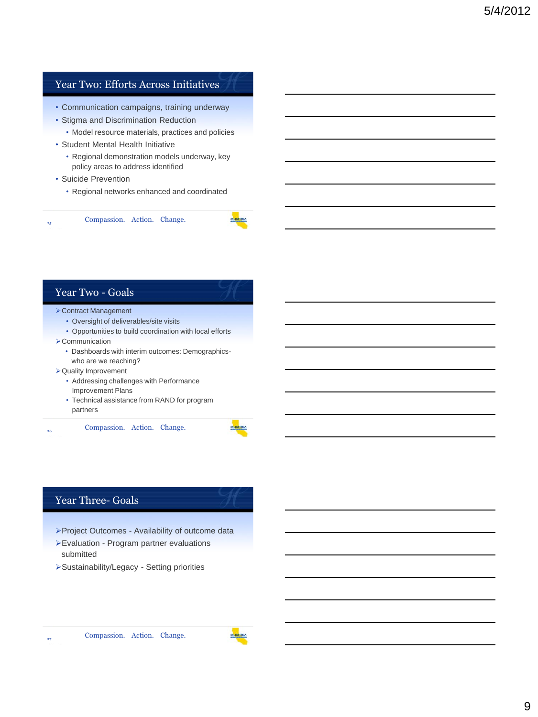### Year Two: Efforts Across Initiatives

- Communication campaigns, training underway
- Stigma and Discrimination Reduction
	- Model resource materials, practices and policies
- Student Mental Health Initiative
	- Regional demonstration models underway, key policy areas to address identified
- Suicide Prevention
	- Regional networks enhanced and coordinated



### Year Two - Goals

- Contract Management
	- Oversight of deliverables/site visits
	- Opportunities to build coordination with local efforts
- **>Communication** 
	- Dashboards with interim outcomes: Demographicswho are we reaching?
- Quality Improvement
	- Addressing challenges with Performance Improvement Plans
	- Technical assistance from RAND for program partners

26 Compassion. Action. Change. **<sup>26</sup>**

### Year Three- Goals

**27**

- Project Outcomes Availability of outcome data
- Evaluation Program partner evaluations submitted
- Sustainability/Legacy Setting priorities

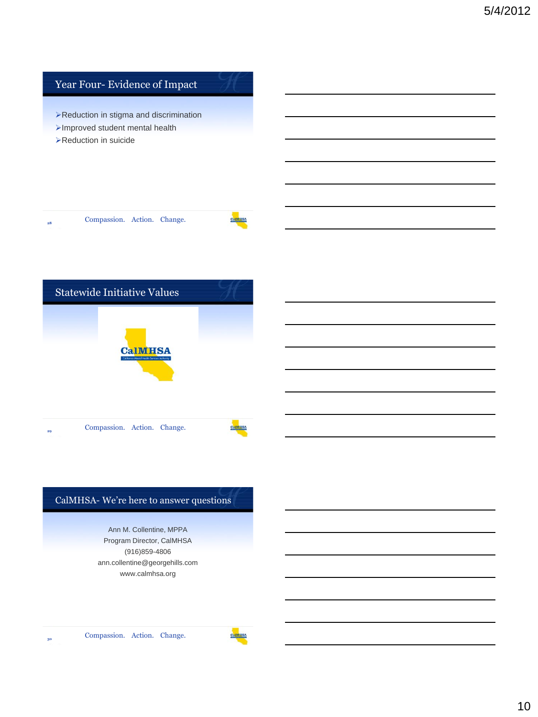

### CalMHSA- We're here to answer questions

Ann M. Collentine, MPPA Program Director, CalMHSA (916)859-4806 ann.collentine@georgehills.com www.calmhsa.org

Compassion. Action. Change.

**30**

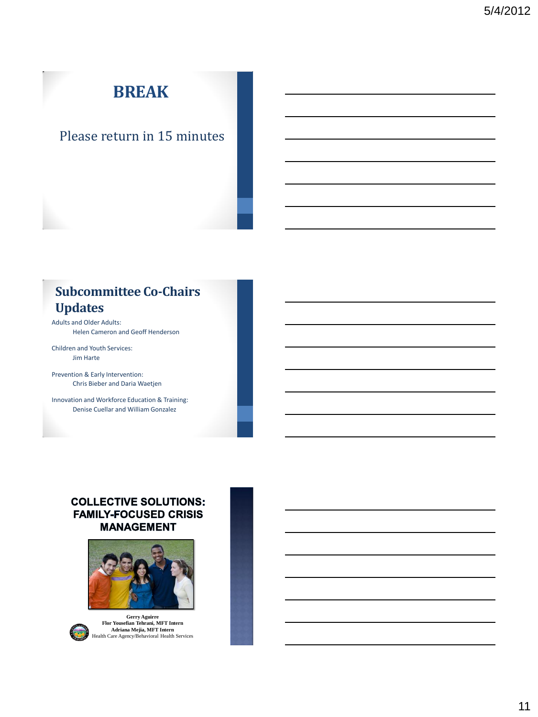# **BREAK**

## Please return in 15 minutes

## **Subcommittee Co-Chairs Updates**

Adults and Older Adults: Helen Cameron and Geoff Henderson

Children and Youth Services: Jim Harte

Prevention & Early Intervention: Chris Bieber and Daria Waetjen

Innovation and Workforce Education & Training: Denise Cuellar and William Gonzalez

### **COLLECTIVE SOLUTIONS: FAMILY-FOCUSED CRISIS MANAGEMENT**





**Gerry Aguirre Flor Yousefian Tehrani, MFT Intern Adriana Mejia, MFT Intern** Health Care Agency/Behavioral Health Services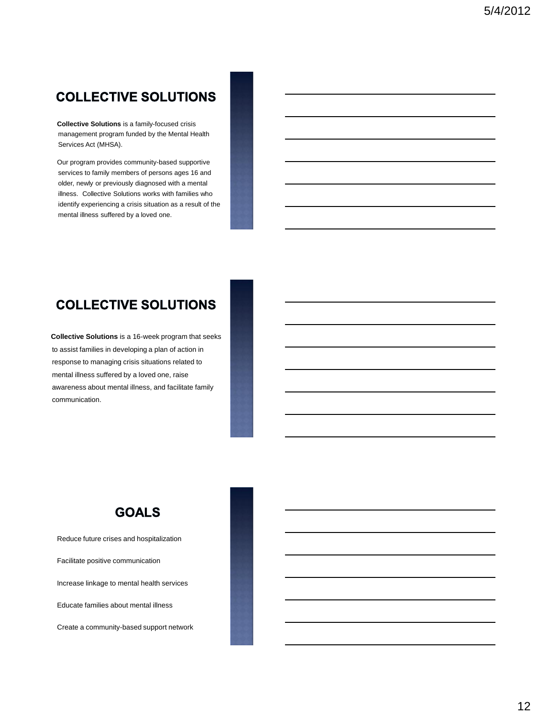## **COLLECTIVE SOLUTIONS**

**Collective Solutions** is a family-focused crisis management program funded by the Mental Health Services Act (MHSA).

Our program provides community-based supportive services to family members of persons ages 16 and older, newly or previously diagnosed with a mental illness. Collective Solutions works with families who identify experiencing a crisis situation as a result of the mental illness suffered by a loved one.

### **COLLECTIVE SOLUTIONS**

**Collective Solutions** is a 16-week program that seeks to assist families in developing a plan of action in response to managing crisis situations related to mental illness suffered by a loved one, raise awareness about mental illness, and facilitate family communication.



Reduce future crises and hospitalization

Facilitate positive communication

Increase linkage to mental health services

Educate families about mental illness

Create a community-based support network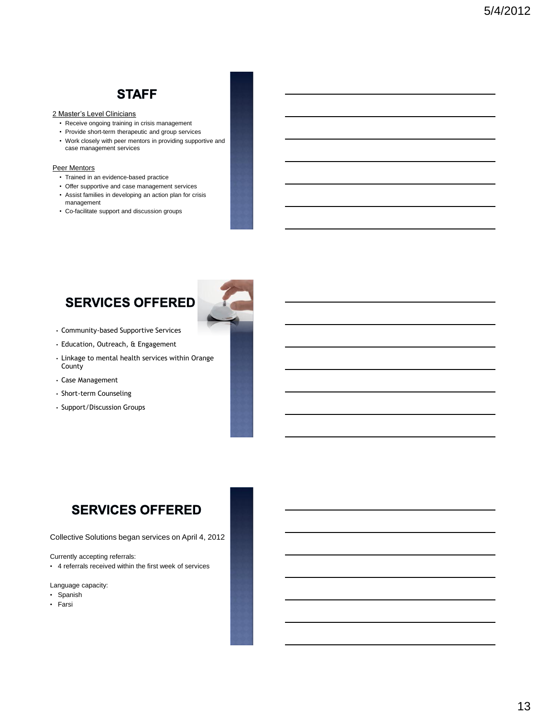## **STAFF**

### 2 Master's Level Clinicians

- Receive ongoing training in crisis management
- Provide short-term therapeutic and group services
- Work closely with peer mentors in providing supportive and case management services

#### Peer Mentors

- Trained in an evidence-based practice
- Offer supportive and case management services • Assist families in developing an action plan for crisis management
- Co-facilitate support and discussion groups

## **SERVICES OFFERED**



- Community-based Supportive Services
- Education, Outreach, & Engagement
- Linkage to mental health services within Orange County
- Case Management
- Short-term Counseling
- Support/Discussion Groups

## **SERVICES OFFERED**

Collective Solutions began services on April 4, 2012

Currently accepting referrals:

• 4 referrals received within the first week of services

Language capacity:

- Spanish
- Farsi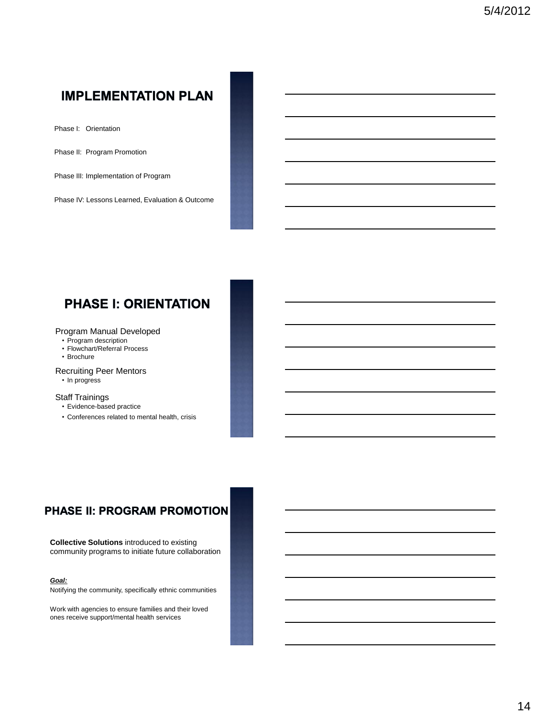## **IMPLEMENTATION PLAN**

Phase I: Orientation

Phase II: Program Promotion

Phase III: Implementation of Program

Phase IV: Lessons Learned, Evaluation & Outcome

## **PHASE I: ORIENTATION**

#### Program Manual Developed

- Program description
- Flowchart/Referral Process
- Brochure
- Recruiting Peer Mentors
- In progress

#### Staff Trainings

- Evidence-based practice
- Conferences related to mental health, crisis

### **PHASE II: PROGRAM PROMOTION**

**Collective Solutions** introduced to existing community programs to initiate future collaboration

#### *Goal:*

Notifying the community, specifically ethnic communities

Work with agencies to ensure families and their loved ones receive support/mental health services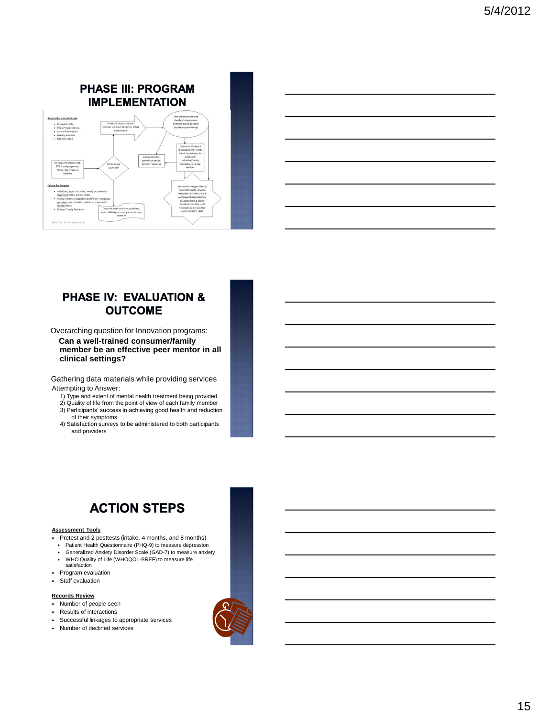### **PHASE III: PROGRAM IMPLEMENTATION**



| <u> 1989 - Andrea Santa Andrea Andrea Andrea Andrea Andrea Andrea Andrea Andrea Andrea Andrea Andrea Andrea Andr</u>                                                                                                          |  |  |  |
|-------------------------------------------------------------------------------------------------------------------------------------------------------------------------------------------------------------------------------|--|--|--|
| <u> 1989 - Andrea Santa Andrea Andrea Andrea Andrea Andrea Andrea Andrea Andrea Andrea Andrea Andrea Andrea Andr</u>                                                                                                          |  |  |  |
| the control of the control of the control of the control of the control of the control of the control of the control of the control of the control of the control of the control of the control of the control of the control |  |  |  |
| <u> 1989 - Johann Barn, amerikansk politiker (d. 1989)</u>                                                                                                                                                                    |  |  |  |
| <u> 1989 - Johann Stoff, deutscher Stoff, der Stoff, der Stoff, der Stoff, der Stoff, der Stoff, der Stoff, der S</u>                                                                                                         |  |  |  |
|                                                                                                                                                                                                                               |  |  |  |

### **PHASE IV: EVALUATION & OUTCOME**

Overarching question for Innovation programs: **Can a well-trained consumer/family member be an effective peer mentor in all clinical settings?** 

Gathering data materials while providing services Attempting to Answer:

- 1) Type and extent of mental health treatment being provided
- 2) Quality of life from the point of view of each family member 3) Participants' success in achieving good health and reduction
- of their symptoms 4) Satisfaction surveys to be administered to both participants and providers



#### **Assessment Tools**

- Pretest and 2 posttests (intake, 4 months, and 8 months)
- Patient Health Questionnaire (PHQ-9) to measure depression Generalized Anxiety Disorder Scale (GAD-7) to measure anxiety
- WHO Quality of Life (WHOQOL-BREF) to measure life
- satisfaction
- Program evaluation
- Staff evaluation

#### **Records Review**

- Number of people seen
- Results of interactions
- Successful linkages to appropriate services
- Number of declined services

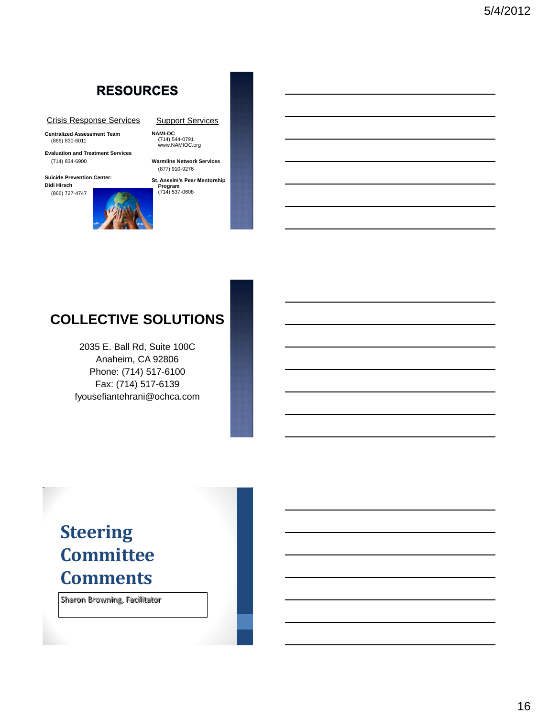## **RESOURCES**

#### Crisis Response Services

**Centralized Assessment Team** (866) 830-6011

**Evaluation and Treatment Services** (714) 834-6900

**Suicide Prevention Center: Didi Hirsch** (866) 727-4747



**Support Services** 

**NAMI-OC** (714) 544-0791 www.NAMIOC.org

**Warmline Network Services** (877) 910-9276

**St. Anselm's Peer Mentorship Program** (714) 537-0608

## **COLLECTIVE SOLUTIONS**

2035 E. Ball Rd, Suite 100C Anaheim, CA 92806 Phone: (714) 517-6100 Fax: (714) 517-6139 fyousefiantehrani@ochca.com

# **Steering Committee Comments**

Sharon Browning, Facilitator